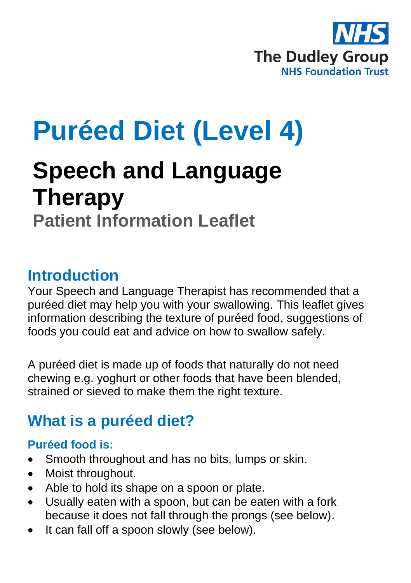

# **Puréed Diet (Level 4)**

# **Speech and Language Therapy Patient Information Leaflet**

### **Introduction**

Your Speech and Language Therapist has recommended that a puréed diet may help you with your swallowing. This leaflet gives information describing the texture of puréed food, suggestions of foods you could eat and advice on how to swallow safely.

A puréed diet is made up of foods that naturally do not need chewing e.g. yoghurt or other foods that have been blended, strained or sieved to make them the right texture.

# **What is a puréed diet?**

#### **Puréed food is:**

- Smooth throughout and has no bits, lumps or skin.
- Moist throughout.
- Able to hold its shape on a spoon or plate.
- Usually eaten with a spoon, but can be eaten with a fork because it does not fall through the prongs (see below).
- It can fall off a spoon slowly (see below).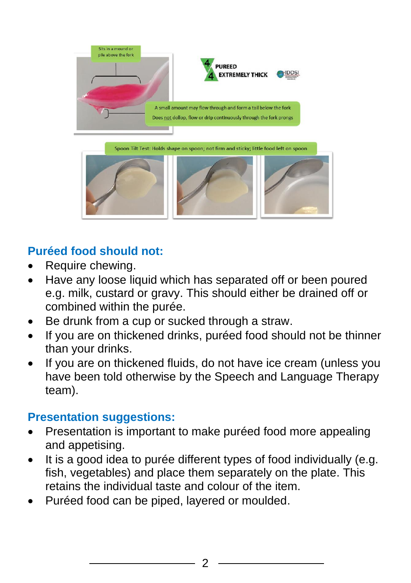

#### **Puréed food should not:**

- Require chewing.
- Have any loose liquid which has separated off or been poured e.g. milk, custard or gravy. This should either be drained off or combined within the purée.
- Be drunk from a cup or sucked through a straw.
- If you are on thickened drinks, puréed food should not be thinner than your drinks.
- If you are on thickened fluids, do not have ice cream (unless you have been told otherwise by the Speech and Language Therapy team).

#### **Presentation suggestions:**

- Presentation is important to make puréed food more appealing and appetising.
- It is a good idea to purée different types of food individually (e.g. fish, vegetables) and place them separately on the plate. This retains the individual taste and colour of the item.
- Puréed food can be piped, layered or moulded.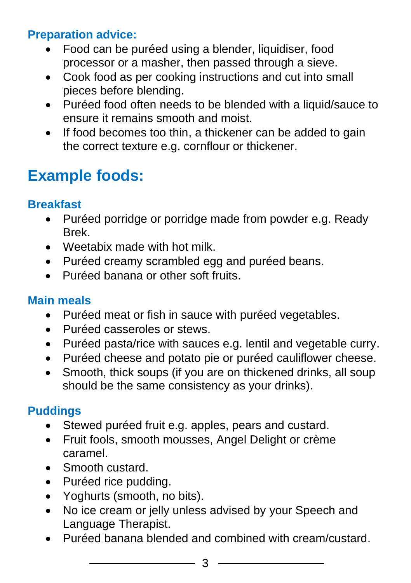#### **Preparation advice:**

- Food can be puréed using a blender, liquidiser, food processor or a masher, then passed through a sieve.
- Cook food as per cooking instructions and cut into small pieces before blending.
- Puréed food often needs to be blended with a liquid/sauce to ensure it remains smooth and moist.
- If food becomes too thin, a thickener can be added to gain the correct texture e.g. cornflour or thickener.

# **Example foods:**

#### **Breakfast**

- Puréed porridge or porridge made from powder e.g. Ready Brek.
- Weetabix made with hot milk.
- Puréed creamy scrambled egg and puréed beans.
- Puréed banana or other soft fruits.

#### **Main meals**

- Puréed meat or fish in sauce with puréed vegetables.
- Puréed casseroles or stews.
- Puréed pasta/rice with sauces e.g. lentil and vegetable curry.
- Puréed cheese and potato pie or puréed cauliflower cheese.
- Smooth, thick soups (if you are on thickened drinks, all soup should be the same consistency as your drinks).

#### **Puddings**

- Stewed puréed fruit e.g. apples, pears and custard.
- Fruit fools, smooth mousses, Angel Delight or crème caramel.
- Smooth custard.
- Puréed rice pudding.
- Yoghurts (smooth, no bits).
- No ice cream or jelly unless advised by your Speech and Language Therapist.
- Puréed banana blended and combined with cream/custard.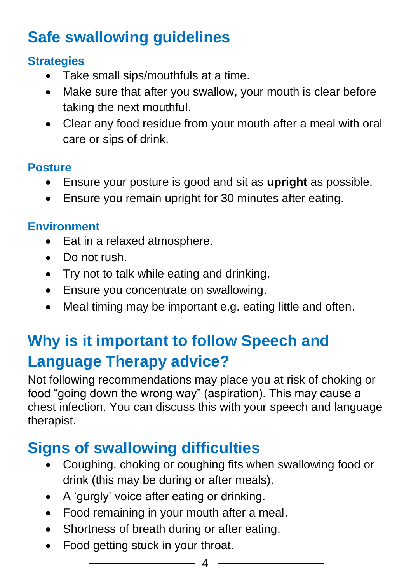# **Safe swallowing guidelines**

#### **Strategies**

- Take small sips/mouthfuls at a time.
- Make sure that after you swallow, your mouth is clear before taking the next mouthful.
- Clear any food residue from your mouth after a meal with oral care or sips of drink.

#### **Posture**

- Ensure your posture is good and sit as **upright** as possible.
- Ensure you remain upright for 30 minutes after eating.

#### **Environment**

- Eat in a relaxed atmosphere.
- Do not rush.
- Try not to talk while eating and drinking.
- Ensure you concentrate on swallowing.
- Meal timing may be important e.g. eating little and often.

# **Why is it important to follow Speech and Language Therapy advice?**

Not following recommendations may place you at risk of choking or food "going down the wrong way" (aspiration). This may cause a chest infection. You can discuss this with your speech and language therapist.

# **Signs of swallowing difficulties**

- Coughing, choking or coughing fits when swallowing food or drink (this may be during or after meals).
- A 'gurgly' voice after eating or drinking.
- Food remaining in your mouth after a meal.
- Shortness of breath during or after eating.
- Food getting stuck in your throat.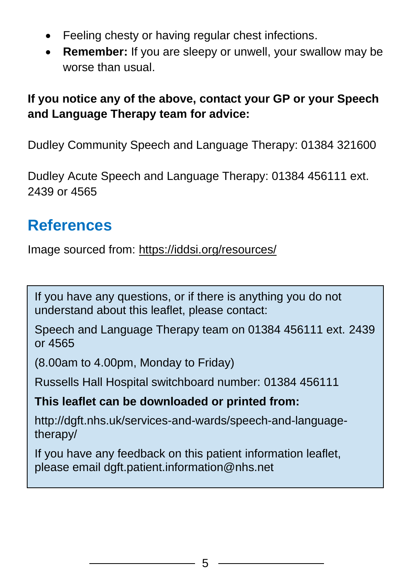- Feeling chesty or having regular chest infections.
- **Remember:** If you are sleepy or unwell, your swallow may be worse than usual.

#### **If you notice any of the above, contact your GP or your Speech and Language Therapy team for advice:**

Dudley Community Speech and Language Therapy: 01384 321600

Dudley Acute Speech and Language Therapy: 01384 456111 ext. 2439 or 4565

## **References**

Image sourced from: <https://iddsi.org/resources/>

If you have any questions, or if there is anything you do not understand about this leaflet, please contact:

Speech and Language Therapy team on 01384 456111 ext. 2439 or 4565

(8.00am to 4.00pm, Monday to Friday)

Russells Hall Hospital switchboard number: 01384 456111

**This leaflet can be downloaded or printed from:**

http://dgft.nhs.uk/services-and-wards/speech-and-languagetherapy/

If you have any feedback on this patient information leaflet, please email dgft.patient.information@nhs.net